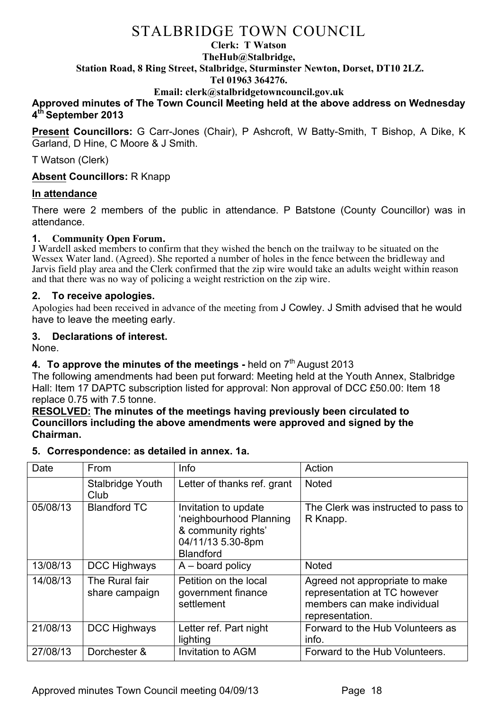## **Clerk: T Watson TheHub@Stalbridge, Station Road, 8 Ring Street, Stalbridge, Sturminster Newton, Dorset, DT10 2LZ.**

**Tel 01963 364276.** 

#### **Email: clerk@stalbridgetowncouncil.gov.uk**

#### **Approved minutes of The Town Council Meeting held at the above address on Wednesday 4th September 2013**

**Present Councillors:** G Carr-Jones (Chair), P Ashcroft, W Batty-Smith, T Bishop, A Dike, K Garland, D Hine, C Moore & J Smith.

T Watson (Clerk)

**Absent Councillors:** R Knapp

#### **In attendance**

There were 2 members of the public in attendance. P Batstone (County Councillor) was in attendance.

#### **1. Community Open Forum.**

J Wardell asked members to confirm that they wished the bench on the trailway to be situated on the Wessex Water land. (Agreed). She reported a number of holes in the fence between the bridleway and Jarvis field play area and the Clerk confirmed that the zip wire would take an adults weight within reason and that there was no way of policing a weight restriction on the zip wire.

#### **2. To receive apologies.**

Apologies had been received in advance of the meeting from J Cowley. J Smith advised that he would have to leave the meeting early.

#### **3. Declarations of interest.**

None.

## **4.** To approve the minutes of the meetings - held on 7<sup>th</sup> August 2013

The following amendments had been put forward: Meeting held at the Youth Annex, Stalbridge Hall: Item 17 DAPTC subscription listed for approval: Non approval of DCC £50.00: Item 18 replace 0.75 with 7.5 tonne.

#### **RESOLVED: The minutes of the meetings having previously been circulated to Councillors including the above amendments were approved and signed by the Chairman.**

#### **5. Correspondence: as detailed in annex. 1a.**

| Date     | From                             | Info                                                                                                            | Action                                                                                                           |
|----------|----------------------------------|-----------------------------------------------------------------------------------------------------------------|------------------------------------------------------------------------------------------------------------------|
|          | <b>Stalbridge Youth</b><br>Club  | Letter of thanks ref. grant                                                                                     | <b>Noted</b>                                                                                                     |
| 05/08/13 | <b>Blandford TC</b>              | Invitation to update<br>'neighbourhood Planning<br>& community rights'<br>04/11/13 5.30-8pm<br><b>Blandford</b> | The Clerk was instructed to pass to<br>R Knapp.                                                                  |
| 13/08/13 | DCC Highways                     | $A -$ board policy                                                                                              | <b>Noted</b>                                                                                                     |
| 14/08/13 | The Rural fair<br>share campaign | Petition on the local<br>government finance<br>settlement                                                       | Agreed not appropriate to make<br>representation at TC however<br>members can make individual<br>representation. |
| 21/08/13 | DCC Highways                     | Letter ref. Part night<br>lighting                                                                              | Forward to the Hub Volunteers as<br>info.                                                                        |
| 27/08/13 | Dorchester &                     | <b>Invitation to AGM</b>                                                                                        | Forward to the Hub Volunteers.                                                                                   |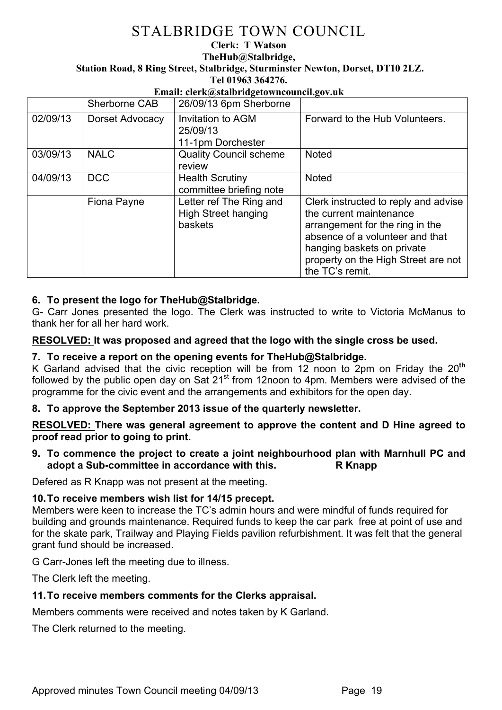**Clerk: T Watson TheHub@Stalbridge, Station Road, 8 Ring Street, Stalbridge, Sturminster Newton, Dorset, DT10 2LZ. Tel 01963 364276.** 

#### **Email: clerk@stalbridgetowncouncil.gov.uk**

|          | Sherborne CAB   | 26/09/13 6pm Sherborne                                           |                                                                                                                                                                                                                               |
|----------|-----------------|------------------------------------------------------------------|-------------------------------------------------------------------------------------------------------------------------------------------------------------------------------------------------------------------------------|
| 02/09/13 | Dorset Advocacy | Invitation to AGM<br>25/09/13<br>11-1pm Dorchester               | Forward to the Hub Volunteers.                                                                                                                                                                                                |
| 03/09/13 | <b>NALC</b>     | <b>Quality Council scheme</b><br>review                          | <b>Noted</b>                                                                                                                                                                                                                  |
| 04/09/13 | <b>DCC</b>      | <b>Health Scrutiny</b><br>committee briefing note                | <b>Noted</b>                                                                                                                                                                                                                  |
|          | Fiona Payne     | Letter ref The Ring and<br><b>High Street hanging</b><br>baskets | Clerk instructed to reply and advise<br>the current maintenance<br>arrangement for the ring in the<br>absence of a volunteer and that<br>hanging baskets on private<br>property on the High Street are not<br>the TC's remit. |

## **6. To present the logo for TheHub@Stalbridge.**

G- Carr Jones presented the logo. The Clerk was instructed to write to Victoria McManus to thank her for all her hard work.

#### **RESOLVED: It was proposed and agreed that the logo with the single cross be used.**

### **7. To receive a report on the opening events for TheHub@Stalbridge.**

K Garland advised that the civic reception will be from 12 noon to 2pm on Friday the 20**th**  followed by the public open day on Sat  $21<sup>st</sup>$  from 12noon to 4pm. Members were advised of the programme for the civic event and the arrangements and exhibitors for the open day.

#### **8. To approve the September 2013 issue of the quarterly newsletter.**

**RESOLVED: There was general agreement to approve the content and D Hine agreed to proof read prior to going to print.**

#### **9. To commence the project to create a joint neighbourhood plan with Marnhull PC and adopt a Sub-committee in accordance with this. R Knapp**

Defered as R Knapp was not present at the meeting.

#### **10.To receive members wish list for 14/15 precept.**

Members were keen to increase the TC's admin hours and were mindful of funds required for building and grounds maintenance. Required funds to keep the car park free at point of use and for the skate park, Trailway and Playing Fields pavilion refurbishment. It was felt that the general grant fund should be increased.

G Carr-Jones left the meeting due to illness.

The Clerk left the meeting.

#### **11.To receive members comments for the Clerks appraisal.**

Members comments were received and notes taken by K Garland.

The Clerk returned to the meeting.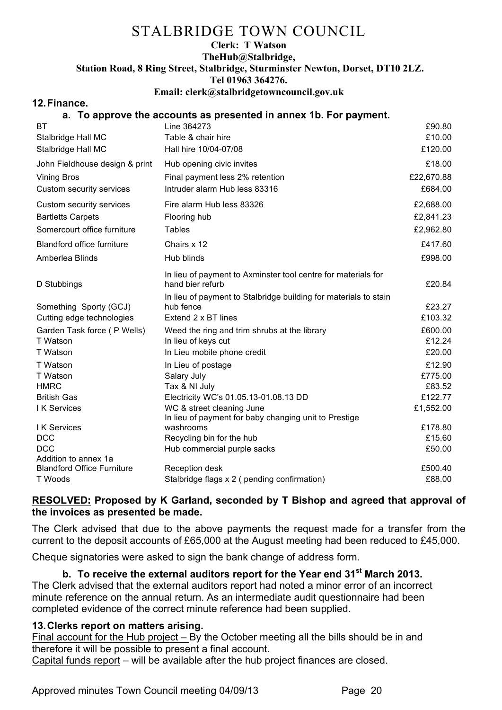#### **Clerk: T Watson**

## **TheHub@Stalbridge,**

**Station Road, 8 Ring Street, Stalbridge, Sturminster Newton, Dorset, DT10 2LZ.**

**Tel 01963 364276.** 

#### **Email: clerk@stalbridgetowncouncil.gov.uk**

#### **12.Finance.**

## **a. To approve the accounts as presented in annex 1b. For payment.**

| ВT                                | Line 364273                                                                       | £90.80     |
|-----------------------------------|-----------------------------------------------------------------------------------|------------|
| Stalbridge Hall MC                | Table & chair hire                                                                | £10.00     |
| Stalbridge Hall MC                | Hall hire 10/04-07/08                                                             | £120.00    |
| John Fieldhouse design & print    | Hub opening civic invites                                                         | £18.00     |
| <b>Vining Bros</b>                | Final payment less 2% retention                                                   | £22,670.88 |
| Custom security services          | Intruder alarm Hub less 83316                                                     | £684.00    |
| Custom security services          | Fire alarm Hub less 83326                                                         | £2,688.00  |
| <b>Bartletts Carpets</b>          | Flooring hub                                                                      | £2,841.23  |
| Somercourt office furniture       | <b>Tables</b>                                                                     | £2,962.80  |
| <b>Blandford office furniture</b> | Chairs x 12                                                                       | £417.60    |
| Amberlea Blinds                   | Hub blinds                                                                        | £998.00    |
| D Stubbings                       | In lieu of payment to Axminster tool centre for materials for<br>hand bier refurb | £20.84     |
|                                   | In lieu of payment to Stalbridge building for materials to stain                  |            |
| Something Sporty (GCJ)            | hub fence                                                                         | £23.27     |
| Cutting edge technologies         | Extend 2 x BT lines                                                               | £103.32    |
| Garden Task force (P Wells)       | Weed the ring and trim shrubs at the library                                      | £600.00    |
| T Watson                          | In lieu of keys cut                                                               | £12.24     |
| T Watson                          | In Lieu mobile phone credit                                                       | £20.00     |
| T Watson                          | In Lieu of postage                                                                | £12.90     |
| T Watson                          | Salary July                                                                       | £775.00    |
| <b>HMRC</b>                       | Tax & NI July                                                                     | £83.52     |
| <b>British Gas</b>                | Electricity WC's 01.05.13-01.08.13 DD                                             | £122.77    |
| <b>IK Services</b>                | WC & street cleaning June                                                         | £1,552.00  |
|                                   | In lieu of payment for baby changing unit to Prestige                             |            |
| I K Services                      | washrooms                                                                         | £178.80    |
| <b>DCC</b><br><b>DCC</b>          | Recycling bin for the hub                                                         | £15.60     |
| Addition to annex 1a              | Hub commercial purple sacks                                                       | £50.00     |
| <b>Blandford Office Furniture</b> | Reception desk                                                                    | £500.40    |
| T Woods                           | Stalbridge flags x 2 ( pending confirmation)                                      | £88.00     |
|                                   |                                                                                   |            |

## **RESOLVED: Proposed by K Garland, seconded by T Bishop and agreed that approval of the invoices as presented be made.**

The Clerk advised that due to the above payments the request made for a transfer from the current to the deposit accounts of £65,000 at the August meeting had been reduced to £45,000.

Cheque signatories were asked to sign the bank change of address form.

## **b. To receive the external auditors report for the Year end 31st March 2013.**

The Clerk advised that the external auditors report had noted a minor error of an incorrect minute reference on the annual return. As an intermediate audit questionnaire had been completed evidence of the correct minute reference had been supplied.

## **13.Clerks report on matters arising.**

Final account for the Hub project – By the October meeting all the bills should be in and therefore it will be possible to present a final account.

Capital funds report – will be available after the hub project finances are closed.